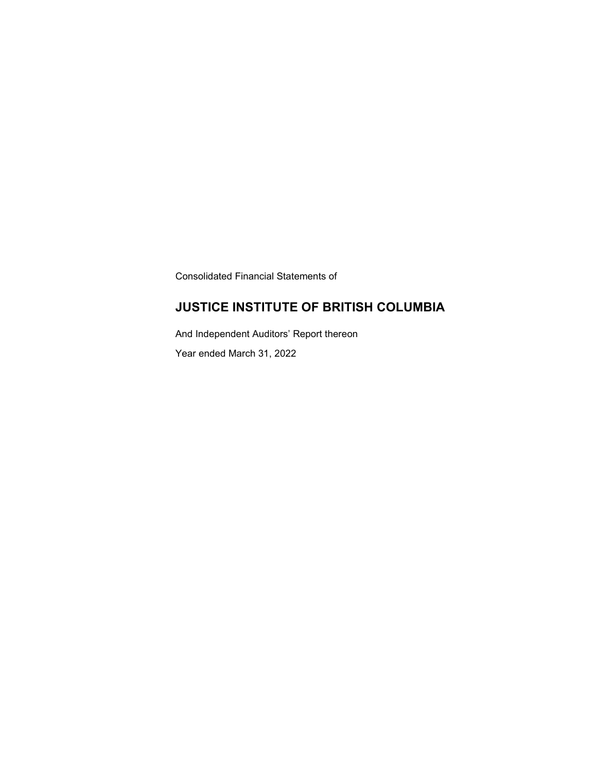Consolidated Financial Statements of

### **JUSTICE INSTITUTE OF BRITISH COLUMBIA**

And Independent Auditors' Report thereon Year ended March 31, 2022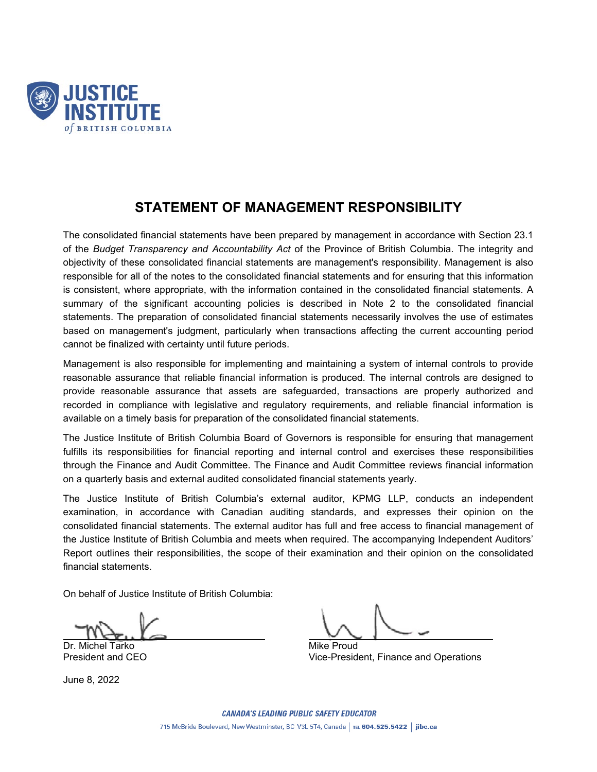

### **STATEMENT OF MANAGEMENT RESPONSIBILITY**

The consolidated financial statements have been prepared by management in accordance with Section 23.1 of the *Budget Transparency and Accountability Act* of the Province of British Columbia. The integrity and objectivity of these consolidated financial statements are management's responsibility. Management is also responsible for all of the notes to the consolidated financial statements and for ensuring that this information is consistent, where appropriate, with the information contained in the consolidated financial statements. A summary of the significant accounting policies is described in Note 2 to the consolidated financial statements. The preparation of consolidated financial statements necessarily involves the use of estimates based on management's judgment, particularly when transactions affecting the current accounting period cannot be finalized with certainty until future periods.

Management is also responsible for implementing and maintaining a system of internal controls to provide reasonable assurance that reliable financial information is produced. The internal controls are designed to provide reasonable assurance that assets are safeguarded, transactions are properly authorized and recorded in compliance with legislative and regulatory requirements, and reliable financial information is available on a timely basis for preparation of the consolidated financial statements.

The Justice Institute of British Columbia Board of Governors is responsible for ensuring that management fulfills its responsibilities for financial reporting and internal control and exercises these responsibilities through the Finance and Audit Committee. The Finance and Audit Committee reviews financial information on a quarterly basis and external audited consolidated financial statements yearly.

The Justice Institute of British Columbia's external auditor, KPMG LLP, conducts an independent examination, in accordance with Canadian auditing standards, and expresses their opinion on the consolidated financial statements. The external auditor has full and free access to financial management of the Justice Institute of British Columbia and meets when required. The accompanying Independent Auditors' Report outlines their responsibilities, the scope of their examination and their opinion on the consolidated financial statements.

On behalf of Justice Institute of British Columbia:

Dr. Michel Tarko Mike Proud Mike Proud

June 8, 2022

President and CEO **Vice-President, Finance and Operations**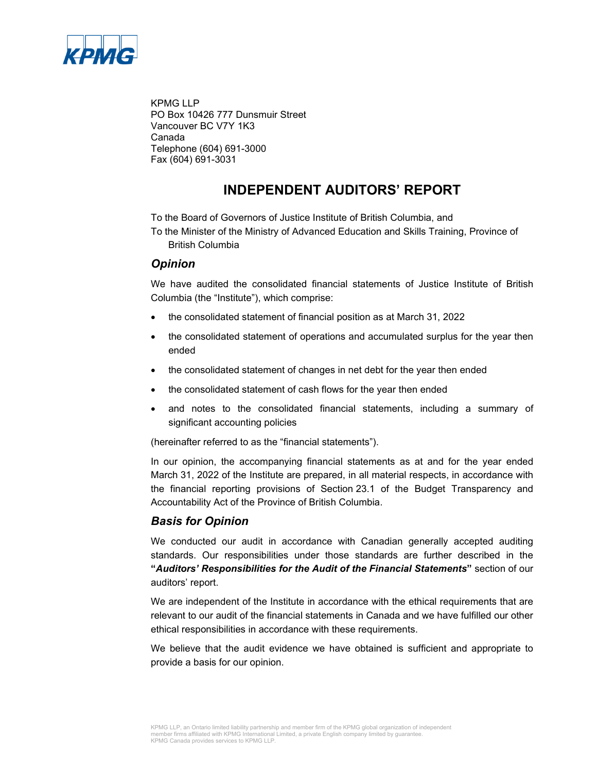

KPMG LLP PO Box 10426 777 Dunsmuir Street Vancouver BC V7Y 1K3 Canada Telephone (604) 691-3000 Fax (604) 691-3031

### **INDEPENDENT AUDITORS' REPORT**

To the Board of Governors of Justice Institute of British Columbia, and

To the Minister of the Ministry of Advanced Education and Skills Training, Province of British Columbia

### *Opinion*

We have audited the consolidated financial statements of Justice Institute of British Columbia (the "Institute"), which comprise:

- the consolidated statement of financial position as at March 31, 2022
- the consolidated statement of operations and accumulated surplus for the year then ended
- the consolidated statement of changes in net debt for the year then ended
- the consolidated statement of cash flows for the year then ended
- and notes to the consolidated financial statements, including a summary of significant accounting policies

(hereinafter referred to as the "financial statements").

In our opinion, the accompanying financial statements as at and for the year ended March 31, 2022 of the Institute are prepared, in all material respects, in accordance with the financial reporting provisions of Section 23.1 of the Budget Transparency and Accountability Act of the Province of British Columbia.

### *Basis for Opinion*

We conducted our audit in accordance with Canadian generally accepted auditing standards. Our responsibilities under those standards are further described in the **"***Auditors' Responsibilities for the Audit of the Financial Statements***"** section of our auditors' report.

We are independent of the Institute in accordance with the ethical requirements that are relevant to our audit of the financial statements in Canada and we have fulfilled our other ethical responsibilities in accordance with these requirements.

We believe that the audit evidence we have obtained is sufficient and appropriate to provide a basis for our opinion.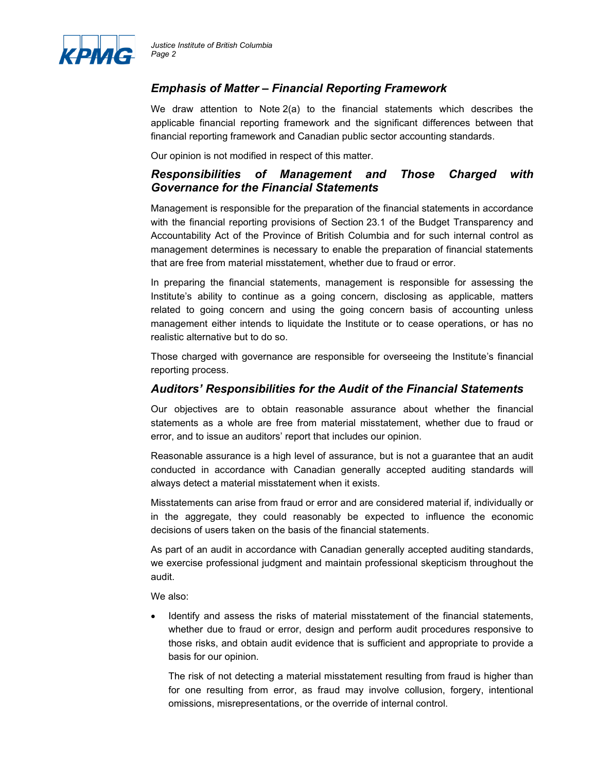

### *Emphasis of Matter – Financial Reporting Framework*

We draw attention to Note 2(a) to the financial statements which describes the applicable financial reporting framework and the significant differences between that financial reporting framework and Canadian public sector accounting standards.

Our opinion is not modified in respect of this matter.

### *Responsibilities of Management and Those Charged with Governance for the Financial Statements*

Management is responsible for the preparation of the financial statements in accordance with the financial reporting provisions of Section 23.1 of the Budget Transparency and Accountability Act of the Province of British Columbia and for such internal control as management determines is necessary to enable the preparation of financial statements that are free from material misstatement, whether due to fraud or error.

In preparing the financial statements, management is responsible for assessing the Institute's ability to continue as a going concern, disclosing as applicable, matters related to going concern and using the going concern basis of accounting unless management either intends to liquidate the Institute or to cease operations, or has no realistic alternative but to do so.

Those charged with governance are responsible for overseeing the Institute's financial reporting process.

### *Auditors' Responsibilities for the Audit of the Financial Statements*

Our objectives are to obtain reasonable assurance about whether the financial statements as a whole are free from material misstatement, whether due to fraud or error, and to issue an auditors' report that includes our opinion.

Reasonable assurance is a high level of assurance, but is not a guarantee that an audit conducted in accordance with Canadian generally accepted auditing standards will always detect a material misstatement when it exists.

Misstatements can arise from fraud or error and are considered material if, individually or in the aggregate, they could reasonably be expected to influence the economic decisions of users taken on the basis of the financial statements.

As part of an audit in accordance with Canadian generally accepted auditing standards, we exercise professional judgment and maintain professional skepticism throughout the audit.

We also:

• Identify and assess the risks of material misstatement of the financial statements, whether due to fraud or error, design and perform audit procedures responsive to those risks, and obtain audit evidence that is sufficient and appropriate to provide a basis for our opinion.

The risk of not detecting a material misstatement resulting from fraud is higher than for one resulting from error, as fraud may involve collusion, forgery, intentional omissions, misrepresentations, or the override of internal control.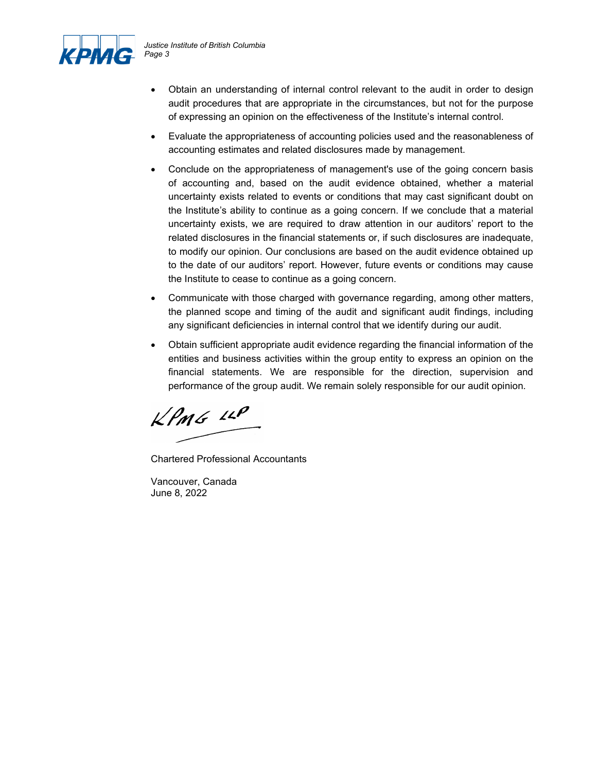

- Obtain an understanding of internal control relevant to the audit in order to design audit procedures that are appropriate in the circumstances, but not for the purpose of expressing an opinion on the effectiveness of the Institute's internal control.
- Evaluate the appropriateness of accounting policies used and the reasonableness of accounting estimates and related disclosures made by management.
- Conclude on the appropriateness of management's use of the going concern basis of accounting and, based on the audit evidence obtained, whether a material uncertainty exists related to events or conditions that may cast significant doubt on the Institute's ability to continue as a going concern. If we conclude that a material uncertainty exists, we are required to draw attention in our auditors' report to the related disclosures in the financial statements or, if such disclosures are inadequate, to modify our opinion. Our conclusions are based on the audit evidence obtained up to the date of our auditors' report. However, future events or conditions may cause the Institute to cease to continue as a going concern.
- Communicate with those charged with governance regarding, among other matters, the planned scope and timing of the audit and significant audit findings, including any significant deficiencies in internal control that we identify during our audit.
- Obtain sufficient appropriate audit evidence regarding the financial information of the entities and business activities within the group entity to express an opinion on the financial statements. We are responsible for the direction, supervision and performance of the group audit. We remain solely responsible for our audit opinion.

 $k$ *PMG 12P* 

Chartered Professional Accountants

Vancouver, Canada June 8, 2022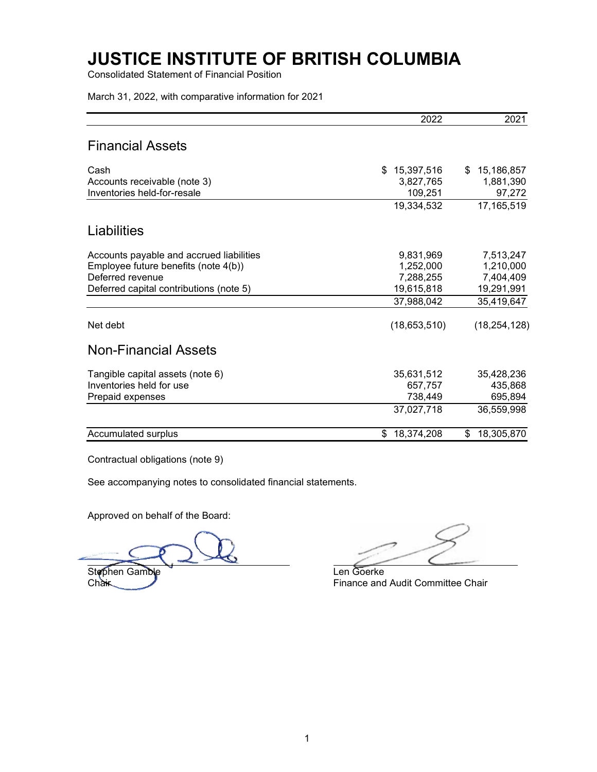Consolidated Statement of Financial Position

March 31, 2022, with comparative information for 2021

|                                                             | 2022                 | 2021                |
|-------------------------------------------------------------|----------------------|---------------------|
| Financial Assets                                            |                      |                     |
| Cash                                                        | \$<br>15,397,516     | 15,186,857<br>\$    |
| Accounts receivable (note 3)<br>Inventories held-for-resale | 3,827,765<br>109,251 | 1,881,390<br>97,272 |
|                                                             | 19,334,532           | 17,165,519          |
| Liabilities                                                 |                      |                     |
| Accounts payable and accrued liabilities                    | 9,831,969            | 7,513,247           |
| Employee future benefits (note 4(b))                        | 1,252,000            | 1,210,000           |
| Deferred revenue                                            | 7,288,255            | 7,404,409           |
| Deferred capital contributions (note 5)                     | 19,615,818           | 19,291,991          |
|                                                             | 37,988,042           | 35,419,647          |
| Net debt                                                    | (18,653,510)         | (18, 254, 128)      |
| <b>Non-Financial Assets</b>                                 |                      |                     |
| Tangible capital assets (note 6)                            | 35,631,512           | 35,428,236          |
| Inventories held for use                                    | 657,757              | 435,868             |
| Prepaid expenses                                            | 738,449              | 695,894             |
|                                                             | 37,027,718           | 36,559,998          |
| Accumulated surplus                                         | 18,374,208<br>\$     | 18,305,870<br>\$    |

Contractual obligations (note 9)

See accompanying notes to consolidated financial statements.

Approved on behalf of the Board:

Stephen Gamble Len Goerke<br>Chair Finance and

Finance and Audit Committee Chair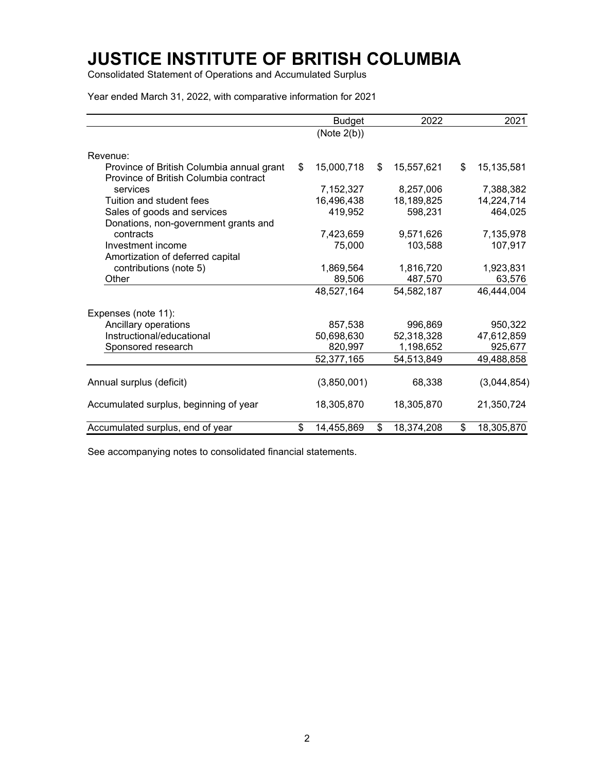Consolidated Statement of Operations and Accumulated Surplus

Year ended March 31, 2022, with comparative information for 2021

|                                                                                    | <b>Budget</b>    | 2022             | 2021             |
|------------------------------------------------------------------------------------|------------------|------------------|------------------|
|                                                                                    | (Note 2(b))      |                  |                  |
| Revenue:                                                                           |                  |                  |                  |
| Province of British Columbia annual grant<br>Province of British Columbia contract | \$<br>15,000,718 | \$<br>15,557,621 | \$<br>15,135,581 |
| services                                                                           | 7,152,327        | 8,257,006        | 7,388,382        |
| Tuition and student fees                                                           | 16,496,438       | 18,189,825       | 14,224,714       |
| Sales of goods and services                                                        | 419,952          | 598,231          | 464,025          |
| Donations, non-government grants and                                               |                  |                  |                  |
| contracts                                                                          | 7,423,659        | 9,571,626        | 7,135,978        |
| Investment income                                                                  | 75,000           | 103,588          | 107,917          |
| Amortization of deferred capital                                                   |                  |                  |                  |
| contributions (note 5)                                                             | 1,869,564        | 1,816,720        | 1,923,831        |
| Other                                                                              | 89,506           | 487,570          | 63,576           |
|                                                                                    | 48,527,164       | 54,582,187       | 46,444,004       |
| Expenses (note 11):                                                                |                  |                  |                  |
| Ancillary operations                                                               | 857,538          | 996.869          | 950,322          |
| Instructional/educational                                                          | 50,698,630       | 52,318,328       | 47,612,859       |
| Sponsored research                                                                 | 820,997          | 1,198,652        | 925,677          |
|                                                                                    | 52,377,165       | 54,513,849       | 49,488,858       |
| Annual surplus (deficit)                                                           | (3,850,001)      | 68,338           | (3,044,854)      |
| Accumulated surplus, beginning of year                                             | 18,305,870       | 18,305,870       | 21,350,724       |
| Accumulated surplus, end of year                                                   | \$<br>14,455,869 | \$<br>18,374,208 | \$<br>18,305,870 |

See accompanying notes to consolidated financial statements.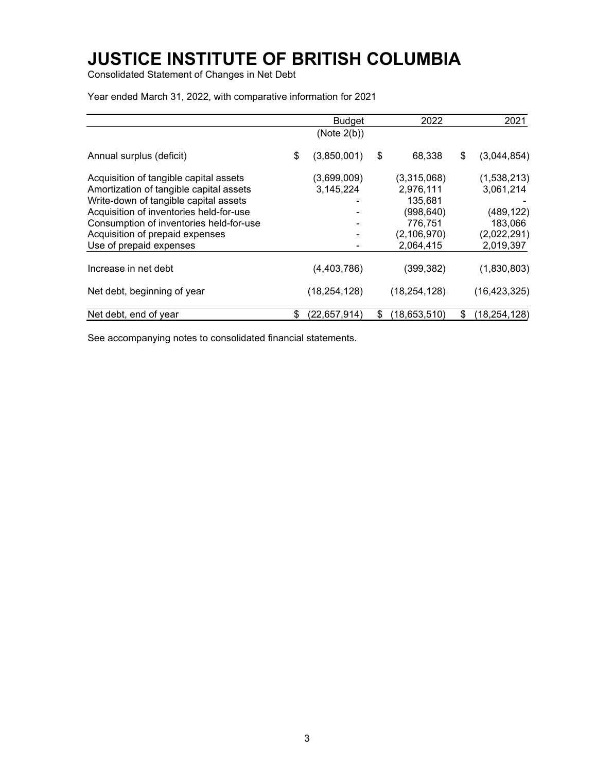Consolidated Statement of Changes in Net Debt

Budget 2022 2021 (Note 2(b)) Annual surplus (deficit) \$ (3,850,001) \$ 68,338 \$ (3,044,854) Acquisition of tangible capital assets (3,699,009) (3,315,068) (1,538,213)<br>Amortization of tangible capital assets 3,145,224 2,976,111 3,061,214 Amortization of tangible capital assets 3,145,224 2,976,111 3,061,214 Write-down of tangible capital assets 135,681 -<br>Acquisition of inventories held-for-use - (998,640) (489,122) Acquisition of inventories held-for-use Consumption of inventories held-for-use **183,066** 183,066 Acquisition of prepaid expenses (2,106,970) (2,022,291)<br>Use of prepaid expenses 2,064,415 2,019,397 Use of prepaid expenses and the contract of the contract of the 2,064,415 2,019,397 Increase in net debt (4,403,786) (399,382) (1,830,803) Net debt, beginning of year (18,254,128) (18,254,128) (16,423,325) Net debt, end of year  $$ (22,657,914) $ (18,653,510) $ (18,254,128)$ 

Year ended March 31, 2022, with comparative information for 2021

See accompanying notes to consolidated financial statements.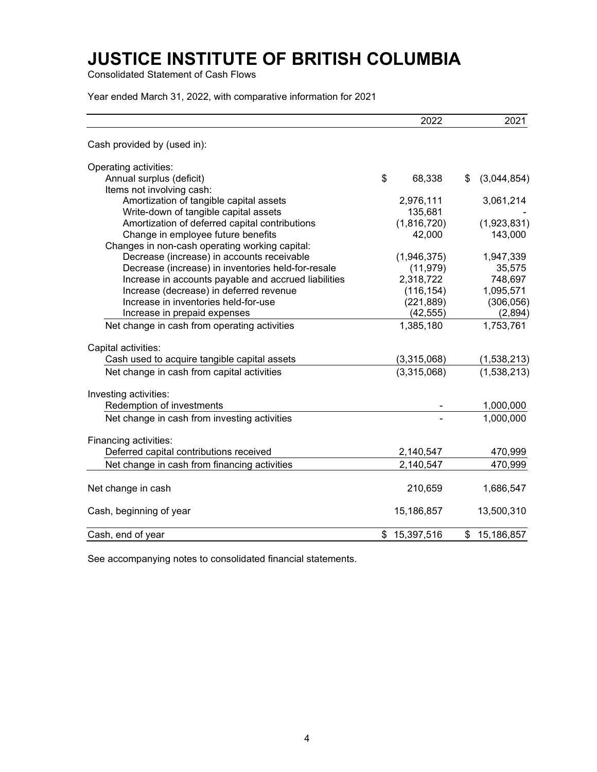Consolidated Statement of Cash Flows

Year ended March 31, 2022, with comparative information for 2021

|                                                      | 2022             | 2021              |
|------------------------------------------------------|------------------|-------------------|
| Cash provided by (used in):                          |                  |                   |
| Operating activities:                                |                  |                   |
| Annual surplus (deficit)                             | \$<br>68,338     | \$<br>(3,044,854) |
| Items not involving cash:                            |                  |                   |
| Amortization of tangible capital assets              | 2,976,111        | 3,061,214         |
| Write-down of tangible capital assets                | 135,681          |                   |
| Amortization of deferred capital contributions       | (1,816,720)      | (1,923,831)       |
| Change in employee future benefits                   | 42,000           | 143,000           |
| Changes in non-cash operating working capital:       |                  |                   |
| Decrease (increase) in accounts receivable           | (1,946,375)      | 1,947,339         |
| Decrease (increase) in inventories held-for-resale   | (11, 979)        | 35,575            |
| Increase in accounts payable and accrued liabilities | 2,318,722        | 748,697           |
| Increase (decrease) in deferred revenue              | (116, 154)       | 1,095,571         |
| Increase in inventories held-for-use                 | (221, 889)       | (306, 056)        |
| Increase in prepaid expenses                         | (42, 555)        | (2,894)           |
| Net change in cash from operating activities         | 1,385,180        | 1,753,761         |
| Capital activities:                                  |                  |                   |
| Cash used to acquire tangible capital assets         | (3,315,068)      | (1,538,213)       |
| Net change in cash from capital activities           | (3,315,068)      | (1,538,213)       |
| Investing activities:                                |                  |                   |
| Redemption of investments                            |                  | 1,000,000         |
| Net change in cash from investing activities         |                  | 1,000,000         |
| Financing activities:                                |                  |                   |
| Deferred capital contributions received              | 2,140,547        | 470,999           |
| Net change in cash from financing activities         | 2,140,547        | 470,999           |
| Net change in cash                                   | 210,659          | 1,686,547         |
| Cash, beginning of year                              | 15,186,857       | 13,500,310        |
| Cash, end of year                                    | \$<br>15,397,516 | \$<br>15,186,857  |

See accompanying notes to consolidated financial statements.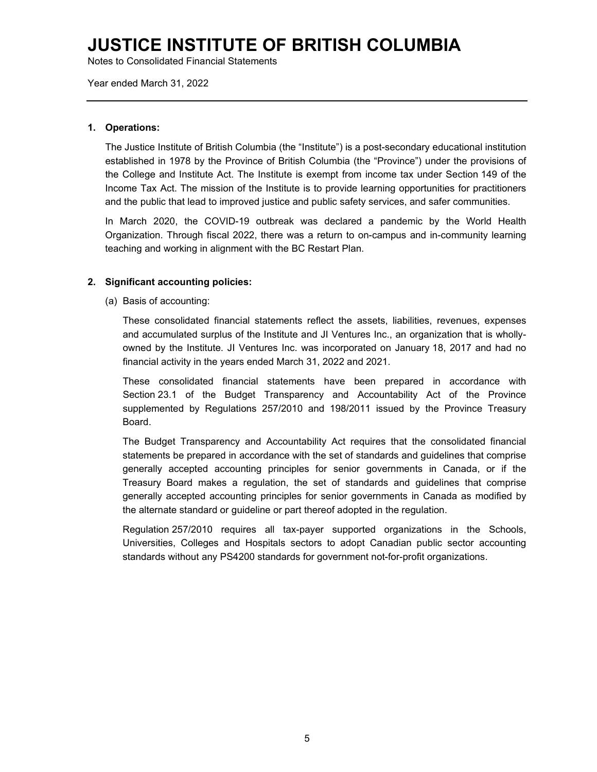Notes to Consolidated Financial Statements

Year ended March 31, 2022

#### **1. Operations:**

The Justice Institute of British Columbia (the "Institute") is a post-secondary educational institution established in 1978 by the Province of British Columbia (the "Province") under the provisions of the College and Institute Act. The Institute is exempt from income tax under Section 149 of the Income Tax Act. The mission of the Institute is to provide learning opportunities for practitioners and the public that lead to improved justice and public safety services, and safer communities.

In March 2020, the COVID-19 outbreak was declared a pandemic by the World Health Organization. Through fiscal 2022, there was a return to on-campus and in-community learning teaching and working in alignment with the BC Restart Plan.

#### **2. Significant accounting policies:**

(a) Basis of accounting:

These consolidated financial statements reflect the assets, liabilities, revenues, expenses and accumulated surplus of the Institute and JI Ventures Inc., an organization that is whollyowned by the Institute. JI Ventures Inc. was incorporated on January 18, 2017 and had no financial activity in the years ended March 31, 2022 and 2021.

These consolidated financial statements have been prepared in accordance with Section 23.1 of the Budget Transparency and Accountability Act of the Province supplemented by Regulations 257/2010 and 198/2011 issued by the Province Treasury Board.

The Budget Transparency and Accountability Act requires that the consolidated financial statements be prepared in accordance with the set of standards and guidelines that comprise generally accepted accounting principles for senior governments in Canada, or if the Treasury Board makes a regulation, the set of standards and guidelines that comprise generally accepted accounting principles for senior governments in Canada as modified by the alternate standard or guideline or part thereof adopted in the regulation.

Regulation 257/2010 requires all tax-payer supported organizations in the Schools, Universities, Colleges and Hospitals sectors to adopt Canadian public sector accounting standards without any PS4200 standards for government not-for-profit organizations.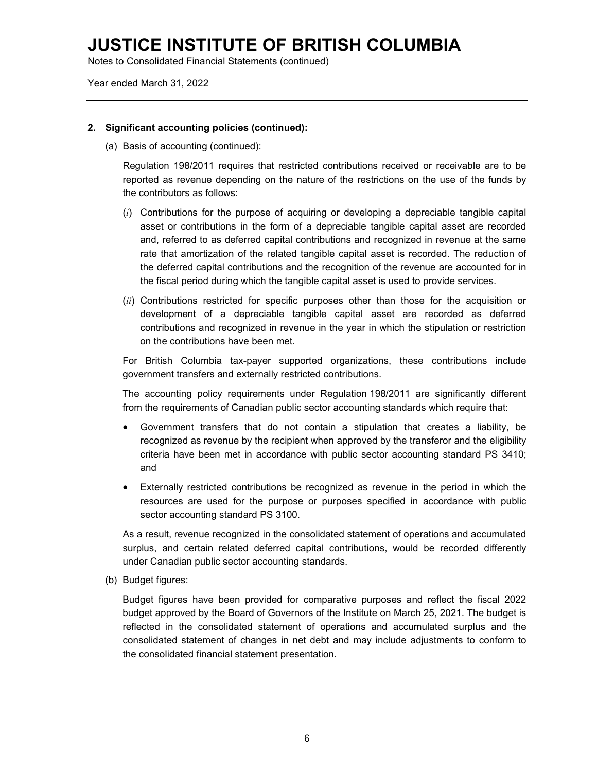Notes to Consolidated Financial Statements (continued)

Year ended March 31, 2022

#### **2. Significant accounting policies (continued):**

(a) Basis of accounting (continued):

Regulation 198/2011 requires that restricted contributions received or receivable are to be reported as revenue depending on the nature of the restrictions on the use of the funds by the contributors as follows:

- (*i*) Contributions for the purpose of acquiring or developing a depreciable tangible capital asset or contributions in the form of a depreciable tangible capital asset are recorded and, referred to as deferred capital contributions and recognized in revenue at the same rate that amortization of the related tangible capital asset is recorded. The reduction of the deferred capital contributions and the recognition of the revenue are accounted for in the fiscal period during which the tangible capital asset is used to provide services.
- (*ii*) Contributions restricted for specific purposes other than those for the acquisition or development of a depreciable tangible capital asset are recorded as deferred contributions and recognized in revenue in the year in which the stipulation or restriction on the contributions have been met.

For British Columbia tax-payer supported organizations, these contributions include government transfers and externally restricted contributions.

The accounting policy requirements under Regulation 198/2011 are significantly different from the requirements of Canadian public sector accounting standards which require that:

- Government transfers that do not contain a stipulation that creates a liability, be recognized as revenue by the recipient when approved by the transferor and the eligibility criteria have been met in accordance with public sector accounting standard PS 3410; and
- Externally restricted contributions be recognized as revenue in the period in which the resources are used for the purpose or purposes specified in accordance with public sector accounting standard PS 3100.

As a result, revenue recognized in the consolidated statement of operations and accumulated surplus, and certain related deferred capital contributions, would be recorded differently under Canadian public sector accounting standards.

(b) Budget figures:

Budget figures have been provided for comparative purposes and reflect the fiscal 2022 budget approved by the Board of Governors of the Institute on March 25, 2021. The budget is reflected in the consolidated statement of operations and accumulated surplus and the consolidated statement of changes in net debt and may include adjustments to conform to the consolidated financial statement presentation.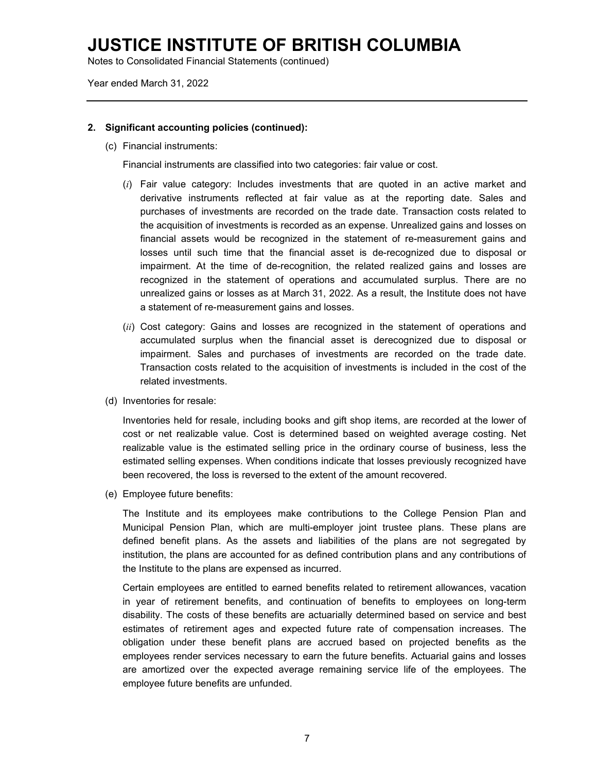Notes to Consolidated Financial Statements (continued)

Year ended March 31, 2022

#### **2. Significant accounting policies (continued):**

(c) Financial instruments:

Financial instruments are classified into two categories: fair value or cost.

- (*i*) Fair value category: Includes investments that are quoted in an active market and derivative instruments reflected at fair value as at the reporting date. Sales and purchases of investments are recorded on the trade date. Transaction costs related to the acquisition of investments is recorded as an expense. Unrealized gains and losses on financial assets would be recognized in the statement of re-measurement gains and losses until such time that the financial asset is de-recognized due to disposal or impairment. At the time of de-recognition, the related realized gains and losses are recognized in the statement of operations and accumulated surplus. There are no unrealized gains or losses as at March 31, 2022. As a result, the Institute does not have a statement of re-measurement gains and losses.
- (*ii*) Cost category: Gains and losses are recognized in the statement of operations and accumulated surplus when the financial asset is derecognized due to disposal or impairment. Sales and purchases of investments are recorded on the trade date. Transaction costs related to the acquisition of investments is included in the cost of the related investments.
- (d) Inventories for resale:

Inventories held for resale, including books and gift shop items, are recorded at the lower of cost or net realizable value. Cost is determined based on weighted average costing. Net realizable value is the estimated selling price in the ordinary course of business, less the estimated selling expenses. When conditions indicate that losses previously recognized have been recovered, the loss is reversed to the extent of the amount recovered.

(e) Employee future benefits:

The Institute and its employees make contributions to the College Pension Plan and Municipal Pension Plan, which are multi-employer joint trustee plans. These plans are defined benefit plans. As the assets and liabilities of the plans are not segregated by institution, the plans are accounted for as defined contribution plans and any contributions of the Institute to the plans are expensed as incurred.

Certain employees are entitled to earned benefits related to retirement allowances, vacation in year of retirement benefits, and continuation of benefits to employees on long-term disability. The costs of these benefits are actuarially determined based on service and best estimates of retirement ages and expected future rate of compensation increases. The obligation under these benefit plans are accrued based on projected benefits as the employees render services necessary to earn the future benefits. Actuarial gains and losses are amortized over the expected average remaining service life of the employees. The employee future benefits are unfunded.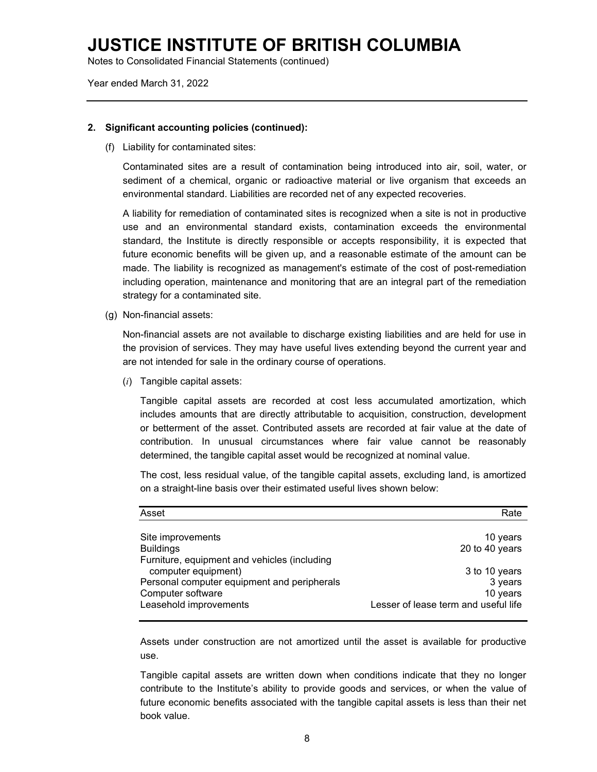Notes to Consolidated Financial Statements (continued)

Year ended March 31, 2022

#### **2. Significant accounting policies (continued):**

(f) Liability for contaminated sites:

Contaminated sites are a result of contamination being introduced into air, soil, water, or sediment of a chemical, organic or radioactive material or live organism that exceeds an environmental standard. Liabilities are recorded net of any expected recoveries.

A liability for remediation of contaminated sites is recognized when a site is not in productive use and an environmental standard exists, contamination exceeds the environmental standard, the Institute is directly responsible or accepts responsibility, it is expected that future economic benefits will be given up, and a reasonable estimate of the amount can be made. The liability is recognized as management's estimate of the cost of post-remediation including operation, maintenance and monitoring that are an integral part of the remediation strategy for a contaminated site.

(g) Non-financial assets:

Non-financial assets are not available to discharge existing liabilities and are held for use in the provision of services. They may have useful lives extending beyond the current year and are not intended for sale in the ordinary course of operations.

(*i*) Tangible capital assets:

Tangible capital assets are recorded at cost less accumulated amortization, which includes amounts that are directly attributable to acquisition, construction, development or betterment of the asset. Contributed assets are recorded at fair value at the date of contribution. In unusual circumstances where fair value cannot be reasonably determined, the tangible capital asset would be recognized at nominal value.

The cost, less residual value, of the tangible capital assets, excluding land, is amortized on a straight-line basis over their estimated useful lives shown below:

| Asset                                        | Rate                                 |
|----------------------------------------------|--------------------------------------|
|                                              |                                      |
| Site improvements                            | 10 years                             |
| <b>Buildings</b>                             | 20 to 40 years                       |
| Furniture, equipment and vehicles (including |                                      |
| computer equipment)                          | 3 to 10 years                        |
| Personal computer equipment and peripherals  | 3 years                              |
| Computer software                            | 10 years                             |
| Leasehold improvements                       | Lesser of lease term and useful life |

Assets under construction are not amortized until the asset is available for productive use.

Tangible capital assets are written down when conditions indicate that they no longer contribute to the Institute's ability to provide goods and services, or when the value of future economic benefits associated with the tangible capital assets is less than their net book value.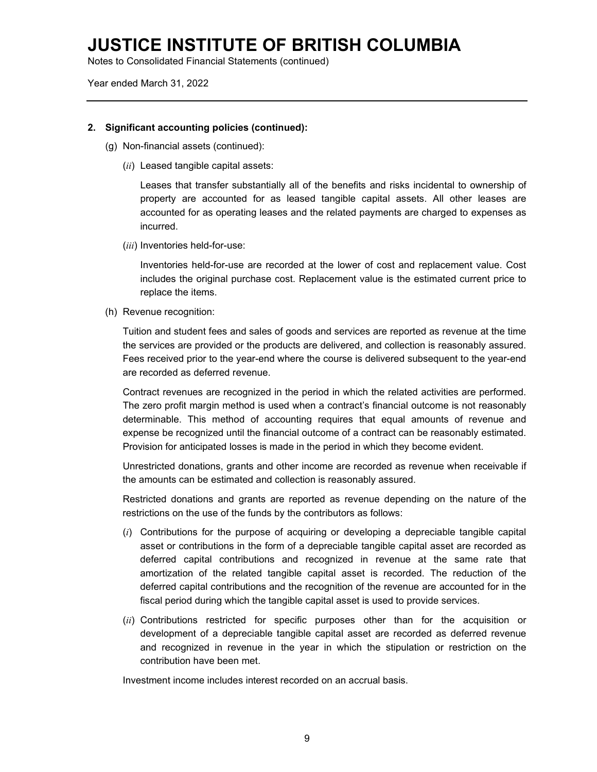Notes to Consolidated Financial Statements (continued)

Year ended March 31, 2022

#### **2. Significant accounting policies (continued):**

- (g) Non-financial assets (continued):
	- (*ii*) Leased tangible capital assets:

Leases that transfer substantially all of the benefits and risks incidental to ownership of property are accounted for as leased tangible capital assets. All other leases are accounted for as operating leases and the related payments are charged to expenses as incurred.

(*iii*) Inventories held-for-use:

Inventories held-for-use are recorded at the lower of cost and replacement value. Cost includes the original purchase cost. Replacement value is the estimated current price to replace the items.

(h) Revenue recognition:

Tuition and student fees and sales of goods and services are reported as revenue at the time the services are provided or the products are delivered, and collection is reasonably assured. Fees received prior to the year-end where the course is delivered subsequent to the year-end are recorded as deferred revenue.

Contract revenues are recognized in the period in which the related activities are performed. The zero profit margin method is used when a contract's financial outcome is not reasonably determinable. This method of accounting requires that equal amounts of revenue and expense be recognized until the financial outcome of a contract can be reasonably estimated. Provision for anticipated losses is made in the period in which they become evident.

Unrestricted donations, grants and other income are recorded as revenue when receivable if the amounts can be estimated and collection is reasonably assured.

Restricted donations and grants are reported as revenue depending on the nature of the restrictions on the use of the funds by the contributors as follows:

- (*i*) Contributions for the purpose of acquiring or developing a depreciable tangible capital asset or contributions in the form of a depreciable tangible capital asset are recorded as deferred capital contributions and recognized in revenue at the same rate that amortization of the related tangible capital asset is recorded. The reduction of the deferred capital contributions and the recognition of the revenue are accounted for in the fiscal period during which the tangible capital asset is used to provide services.
- (*ii*) Contributions restricted for specific purposes other than for the acquisition or development of a depreciable tangible capital asset are recorded as deferred revenue and recognized in revenue in the year in which the stipulation or restriction on the contribution have been met.

Investment income includes interest recorded on an accrual basis.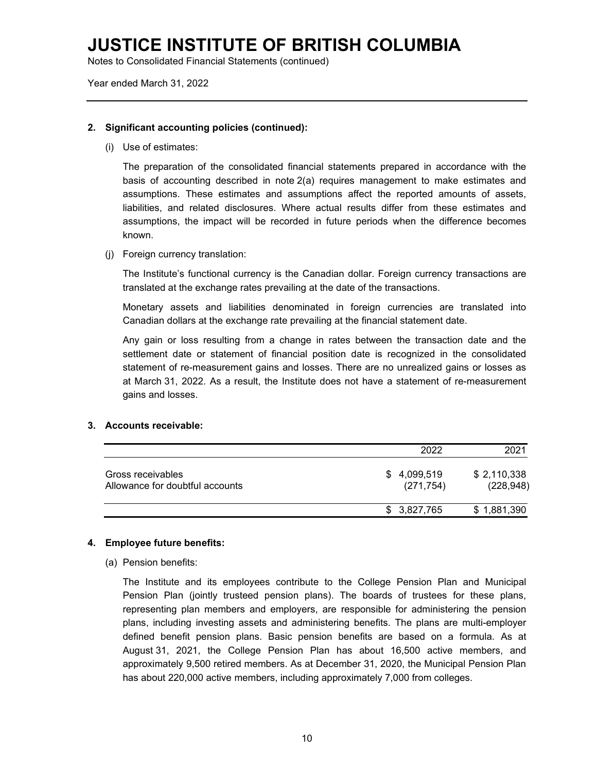Notes to Consolidated Financial Statements (continued)

Year ended March 31, 2022

#### **2. Significant accounting policies (continued):**

(i) Use of estimates:

The preparation of the consolidated financial statements prepared in accordance with the basis of accounting described in note 2(a) requires management to make estimates and assumptions. These estimates and assumptions affect the reported amounts of assets, liabilities, and related disclosures. Where actual results differ from these estimates and assumptions, the impact will be recorded in future periods when the difference becomes known.

(j) Foreign currency translation:

The Institute's functional currency is the Canadian dollar. Foreign currency transactions are translated at the exchange rates prevailing at the date of the transactions.

Monetary assets and liabilities denominated in foreign currencies are translated into Canadian dollars at the exchange rate prevailing at the financial statement date.

Any gain or loss resulting from a change in rates between the transaction date and the settlement date or statement of financial position date is recognized in the consolidated statement of re-measurement gains and losses. There are no unrealized gains or losses as at March 31, 2022. As a result, the Institute does not have a statement of re-measurement gains and losses.

#### **3. Accounts receivable:**

|                                                      | 2022                      | 2021                      |
|------------------------------------------------------|---------------------------|---------------------------|
| Gross receivables<br>Allowance for doubtful accounts | \$4,099,519<br>(271, 754) | \$2,110,338<br>(228, 948) |
|                                                      | \$3,827,765               | \$1,881,390               |

#### **4. Employee future benefits:**

#### (a) Pension benefits:

The Institute and its employees contribute to the College Pension Plan and Municipal Pension Plan (jointly trusteed pension plans). The boards of trustees for these plans, representing plan members and employers, are responsible for administering the pension plans, including investing assets and administering benefits. The plans are multi-employer defined benefit pension plans. Basic pension benefits are based on a formula. As at August 31, 2021, the College Pension Plan has about 16,500 active members, and approximately 9,500 retired members. As at December 31, 2020, the Municipal Pension Plan has about 220,000 active members, including approximately 7,000 from colleges.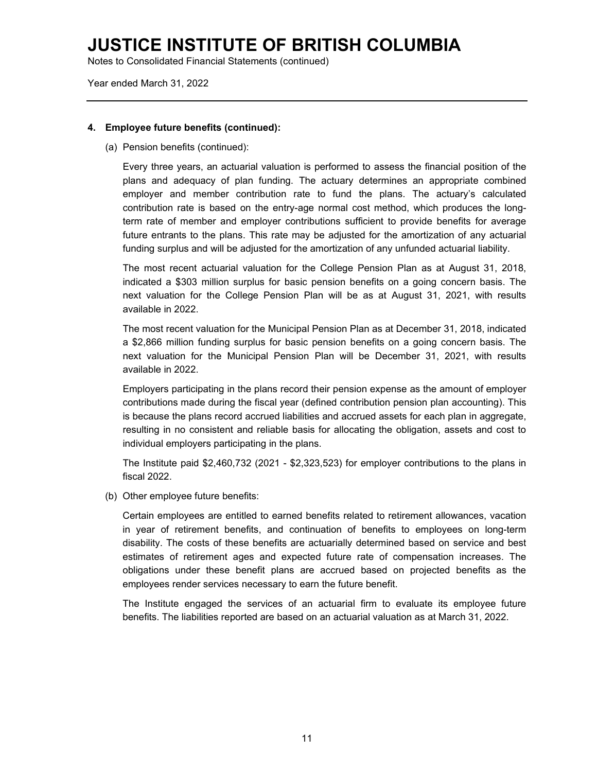Notes to Consolidated Financial Statements (continued)

Year ended March 31, 2022

#### **4. Employee future benefits (continued):**

(a) Pension benefits (continued):

Every three years, an actuarial valuation is performed to assess the financial position of the plans and adequacy of plan funding. The actuary determines an appropriate combined employer and member contribution rate to fund the plans. The actuary's calculated contribution rate is based on the entry-age normal cost method, which produces the longterm rate of member and employer contributions sufficient to provide benefits for average future entrants to the plans. This rate may be adjusted for the amortization of any actuarial funding surplus and will be adjusted for the amortization of any unfunded actuarial liability.

The most recent actuarial valuation for the College Pension Plan as at August 31, 2018, indicated a \$303 million surplus for basic pension benefits on a going concern basis. The next valuation for the College Pension Plan will be as at August 31, 2021, with results available in 2022.

The most recent valuation for the Municipal Pension Plan as at December 31, 2018, indicated a \$2,866 million funding surplus for basic pension benefits on a going concern basis. The next valuation for the Municipal Pension Plan will be December 31, 2021, with results available in 2022.

Employers participating in the plans record their pension expense as the amount of employer contributions made during the fiscal year (defined contribution pension plan accounting). This is because the plans record accrued liabilities and accrued assets for each plan in aggregate, resulting in no consistent and reliable basis for allocating the obligation, assets and cost to individual employers participating in the plans.

The Institute paid \$2,460,732 (2021 - \$2,323,523) for employer contributions to the plans in fiscal 2022.

(b) Other employee future benefits:

Certain employees are entitled to earned benefits related to retirement allowances, vacation in year of retirement benefits, and continuation of benefits to employees on long-term disability. The costs of these benefits are actuarially determined based on service and best estimates of retirement ages and expected future rate of compensation increases. The obligations under these benefit plans are accrued based on projected benefits as the employees render services necessary to earn the future benefit.

The Institute engaged the services of an actuarial firm to evaluate its employee future benefits. The liabilities reported are based on an actuarial valuation as at March 31, 2022.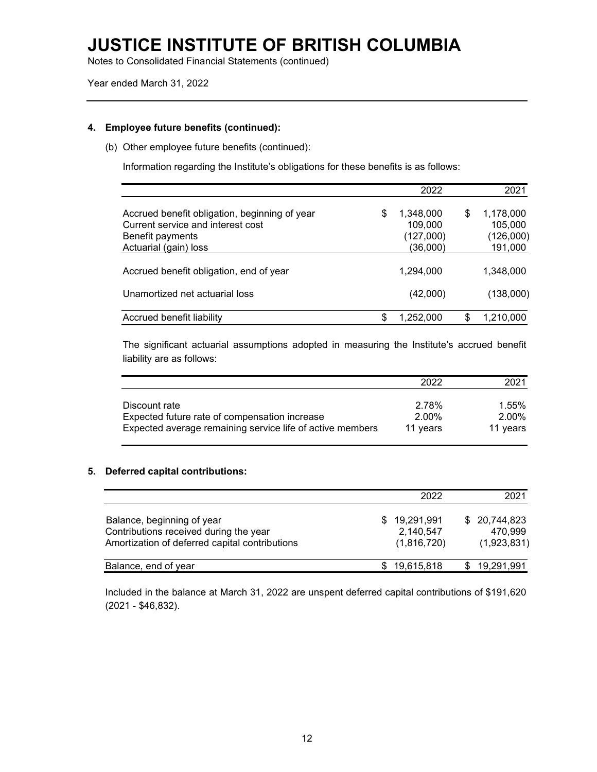Notes to Consolidated Financial Statements (continued)

Year ended March 31, 2022

#### **4. Employee future benefits (continued):**

(b) Other employee future benefits (continued):

Information regarding the Institute's obligations for these benefits is as follows:

|                                                                                                        | 2022                                    |    | 2021                              |
|--------------------------------------------------------------------------------------------------------|-----------------------------------------|----|-----------------------------------|
| Accrued benefit obligation, beginning of year<br>Current service and interest cost<br>Benefit payments | \$<br>1,348,000<br>109,000<br>(127,000) | S  | 1,178,000<br>105,000<br>(126,000) |
| Actuarial (gain) loss                                                                                  | (36,000)                                |    | 191,000                           |
| Accrued benefit obligation, end of year                                                                | 1,294,000                               |    | 1,348,000                         |
| Unamortized net actuarial loss                                                                         | (42,000)                                |    | (138,000)                         |
| Accrued benefit liability                                                                              | \$<br>1,252,000                         | \$ | 1,210,000                         |

The significant actuarial assumptions adopted in measuring the Institute's accrued benefit liability are as follows:

|                                                           | 2022     | 2021     |
|-----------------------------------------------------------|----------|----------|
| Discount rate                                             | 2.78%    | 1.55%    |
| Expected future rate of compensation increase             | 2.00%    | 2.00%    |
| Expected average remaining service life of active members | 11 years | 11 years |

#### **5. Deferred capital contributions:**

|                                                                                                                        | 2022                                     | 2021                                   |
|------------------------------------------------------------------------------------------------------------------------|------------------------------------------|----------------------------------------|
| Balance, beginning of year<br>Contributions received during the year<br>Amortization of deferred capital contributions | \$19,291,991<br>2,140,547<br>(1,816,720) | \$20,744,823<br>470.999<br>(1,923,831) |
| Balance, end of year                                                                                                   | \$19,615,818                             | \$19,291,991                           |

Included in the balance at March 31, 2022 are unspent deferred capital contributions of \$191,620 (2021 - \$46,832).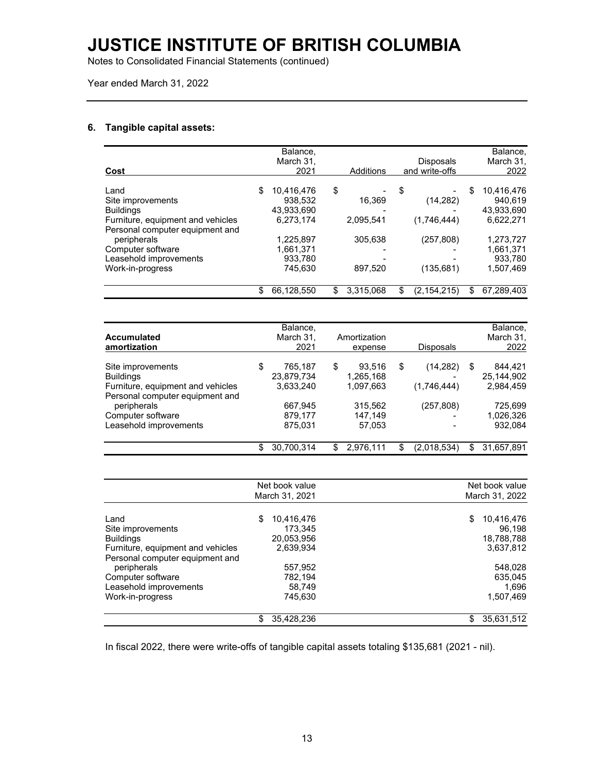Notes to Consolidated Financial Statements (continued)

Year ended March 31, 2022

#### **6. Tangible capital assets:**

| Cost                              | Balance,<br>March 31,<br>2021 | Additions       | <b>Disposals</b><br>and write-offs | Balance,<br>March 31,<br>2022 |
|-----------------------------------|-------------------------------|-----------------|------------------------------------|-------------------------------|
|                                   |                               |                 |                                    |                               |
| Land                              | \$<br>10,416,476              | \$              | \$                                 | \$<br>10,416,476              |
| Site improvements                 | 938,532                       | 16,369          | (14, 282)                          | 940,619                       |
| <b>Buildings</b>                  | 43,933,690                    |                 |                                    | 43,933,690                    |
| Furniture, equipment and vehicles | 6,273,174                     | 2,095,541       | (1,746,444)                        | 6,622,271                     |
| Personal computer equipment and   |                               |                 |                                    |                               |
| peripherals                       | 1,225,897                     | 305,638         | (257, 808)                         | 1,273,727                     |
| Computer software                 | 1,661,371                     |                 |                                    | 1,661,371                     |
| Leasehold improvements            | 933,780                       |                 |                                    | 933,780                       |
| Work-in-progress                  | 745,630                       | 897,520         | (135, 681)                         | 1,507,469                     |
|                                   | \$<br>66,128,550              | \$<br>3,315,068 | \$<br>(2, 154, 215)                | \$<br>67,289,403              |
|                                   |                               |                 |                                    |                               |
|                                   | Balance,                      |                 |                                    | Balance,                      |
| <b>Accumulated</b>                | March 31,                     | Amortization    |                                    | March 31,                     |

| <b>Accumulated</b><br>amortization                                   | March 31,<br>2021           |    | Amortization<br>expense | <b>Disposals</b>  |     | March 31,<br>2022     |
|----------------------------------------------------------------------|-----------------------------|----|-------------------------|-------------------|-----|-----------------------|
| Site improvements<br><b>Buildings</b>                                | \$<br>765.187<br>23,879,734 | S  | 93.516<br>1,265,168     | \$<br>(14, 282)   | S   | 844.421<br>25.144.902 |
| Furniture, equipment and vehicles<br>Personal computer equipment and | 3,633,240                   |    | 1,097,663               | (1,746,444)       |     | 2.984.459             |
| peripherals<br>Computer software                                     | 667.945<br>879.177          |    | 315.562<br>147.149      | (257, 808)        |     | 725.699<br>1,026,326  |
| Leasehold improvements                                               | 875,031                     |    | 57.053                  |                   |     | 932.084               |
|                                                                      | 30.700.314                  | S. | 2.976.111               | \$<br>(2,018,534) | \$. | 31.657.891            |

|                                   |   | Net book value<br>March 31, 2021 | Net book value<br>March 31, 2022 |
|-----------------------------------|---|----------------------------------|----------------------------------|
|                                   |   |                                  |                                  |
| Land                              | S | 10,416,476                       | \$<br>10,416,476                 |
| Site improvements                 |   | 173.345                          | 96.198                           |
| <b>Buildings</b>                  |   | 20,053,956                       | 18,788,788                       |
| Furniture, equipment and vehicles |   | 2,639,934                        | 3,637,812                        |
| Personal computer equipment and   |   |                                  |                                  |
| peripherals                       |   | 557,952                          | 548.028                          |
| Computer software                 |   | 782,194                          | 635,045                          |
| Leasehold improvements            |   | 58.749                           | 1,696                            |
| Work-in-progress                  |   | 745,630                          | 1,507,469                        |
|                                   | S | 35,428,236                       | \$<br>35,631,512                 |

In fiscal 2022, there were write-offs of tangible capital assets totaling \$135,681 (2021 - nil).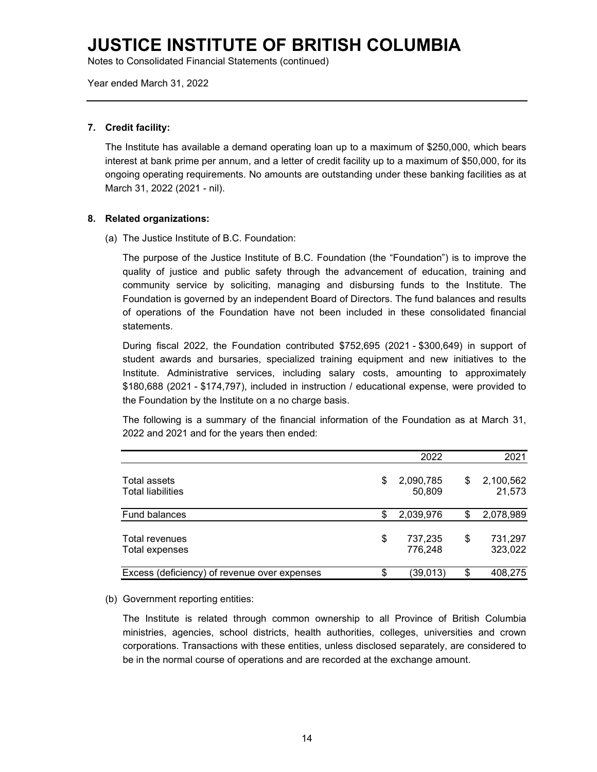Notes to Consolidated Financial Statements (continued)

Year ended March 31, 2022

#### **7. Credit facility:**

The Institute has available a demand operating loan up to a maximum of \$250,000, which bears interest at bank prime per annum, and a letter of credit facility up to a maximum of \$50,000, for its ongoing operating requirements. No amounts are outstanding under these banking facilities as at March 31, 2022 (2021 - nil).

#### **8. Related organizations:**

(a) The Justice Institute of B.C. Foundation:

The purpose of the Justice Institute of B.C. Foundation (the "Foundation") is to improve the quality of justice and public safety through the advancement of education, training and community service by soliciting, managing and disbursing funds to the Institute. The Foundation is governed by an independent Board of Directors. The fund balances and results of operations of the Foundation have not been included in these consolidated financial statements.

During fiscal 2022, the Foundation contributed \$752,695 (2021 - \$300,649) in support of student awards and bursaries, specialized training equipment and new initiatives to the Institute. Administrative services, including salary costs, amounting to approximately \$180,688 (2021 - \$174,797), included in instruction / educational expense, were provided to the Foundation by the Institute on a no charge basis.

The following is a summary of the financial information of the Foundation as at March 31, 2022 and 2021 and for the years then ended:

|                                                 | 2022                      | 2021                      |
|-------------------------------------------------|---------------------------|---------------------------|
| <b>Total assets</b><br><b>Total liabilities</b> | \$<br>2,090,785<br>50,809 | \$<br>2,100,562<br>21,573 |
| Fund balances                                   | \$<br>2,039,976           | 2,078,989                 |
| <b>Total revenues</b><br>Total expenses         | \$<br>737,235<br>776,248  | \$<br>731,297<br>323,022  |
| Excess (deficiency) of revenue over expenses    | \$<br>(39,013)            | \$<br>408,275             |

(b) Government reporting entities:

The Institute is related through common ownership to all Province of British Columbia ministries, agencies, school districts, health authorities, colleges, universities and crown corporations. Transactions with these entities, unless disclosed separately, are considered to be in the normal course of operations and are recorded at the exchange amount.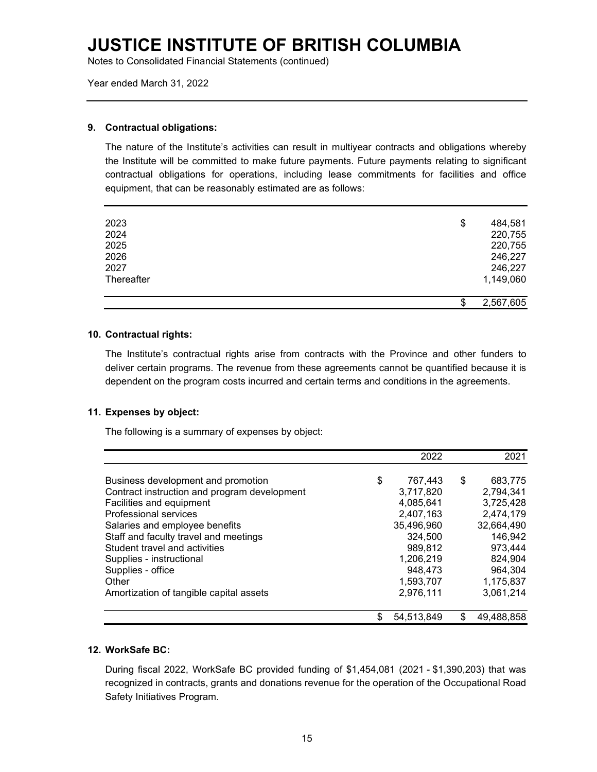Notes to Consolidated Financial Statements (continued)

Year ended March 31, 2022

#### **9. Contractual obligations:**

The nature of the Institute's activities can result in multiyear contracts and obligations whereby the Institute will be committed to make future payments. Future payments relating to significant contractual obligations for operations, including lease commitments for facilities and office equipment, that can be reasonably estimated are as follows:

| 2023       | \$ | 484,581   |
|------------|----|-----------|
| 2024       |    | 220,755   |
| 2025       |    | 220,755   |
| 2026       |    | 246,227   |
| 2027       |    | 246,227   |
| Thereafter |    | 1,149,060 |
|            |    |           |
|            | σ  | 2,567,605 |

#### **10. Contractual rights:**

The Institute's contractual rights arise from contracts with the Province and other funders to deliver certain programs. The revenue from these agreements cannot be quantified because it is dependent on the program costs incurred and certain terms and conditions in the agreements.

#### **11. Expenses by object:**

The following is a summary of expenses by object:

|                                              | 2022             | 2021          |
|----------------------------------------------|------------------|---------------|
| Business development and promotion           | \$<br>767,443    | \$<br>683,775 |
| Contract instruction and program development | 3,717,820        | 2,794,341     |
| Facilities and equipment                     | 4,085,641        | 3,725,428     |
| Professional services                        | 2,407,163        | 2,474,179     |
| Salaries and employee benefits               | 35,496,960       | 32,664,490    |
| Staff and faculty travel and meetings        | 324,500          | 146,942       |
| Student travel and activities                | 989,812          | 973,444       |
| Supplies - instructional                     | 1,206,219        | 824,904       |
| Supplies - office                            | 948,473          | 964,304       |
| Other                                        | 1,593,707        | 1,175,837     |
| Amortization of tangible capital assets      | 2,976,111        | 3,061,214     |
|                                              | \$<br>54,513,849 | 49,488,858    |

#### **12. WorkSafe BC:**

During fiscal 2022, WorkSafe BC provided funding of \$1,454,081 (2021 - \$1,390,203) that was recognized in contracts, grants and donations revenue for the operation of the Occupational Road Safety Initiatives Program.